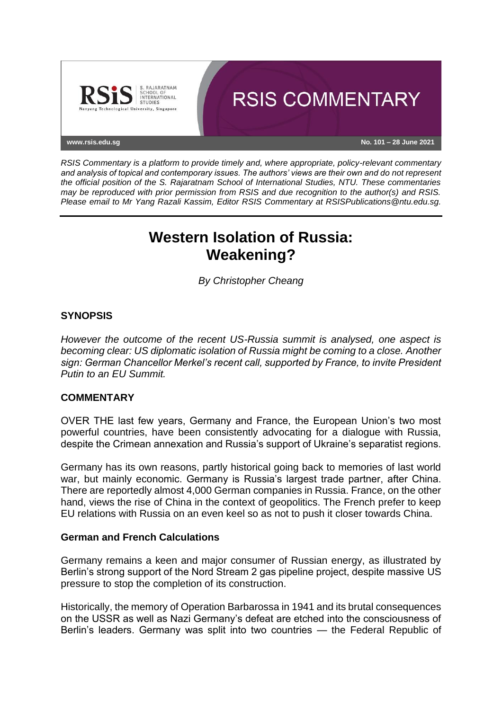

*RSIS Commentary is a platform to provide timely and, where appropriate, policy-relevant commentary and analysis of topical and contemporary issues. The authors' views are their own and do not represent the official position of the S. Rajaratnam School of International Studies, NTU. These commentaries may be reproduced with prior permission from RSIS and due recognition to the author(s) and RSIS. Please email to Mr Yang Razali Kassim, Editor RSIS Commentary at RSISPublications@ntu.edu.sg.*

# **Western Isolation of Russia: Weakening?**

*By Christopher Cheang*

## **SYNOPSIS**

*However the outcome of the recent US-Russia summit is analysed, one aspect is becoming clear: US diplomatic isolation of Russia might be coming to a close. Another sign: German Chancellor Merkel's recent call, supported by France, to invite President Putin to an EU Summit.*

## **COMMENTARY**

OVER THE last few years, Germany and France, the European Union's two most powerful countries, have been consistently advocating for a dialogue with Russia, despite the Crimean annexation and Russia's support of Ukraine's separatist regions.

Germany has its own reasons, partly historical going back to memories of last world war, but mainly economic. Germany is Russia's largest trade partner, after China. There are reportedly almost 4,000 German companies in Russia. France, on the other hand, views the rise of China in the context of geopolitics. The French prefer to keep EU relations with Russia on an even keel so as not to push it closer towards China.

## **German and French Calculations**

Germany remains a keen and major consumer of Russian energy, as illustrated by Berlin's strong support of the Nord Stream 2 gas pipeline project, despite massive US pressure to stop the completion of its construction.

Historically, the memory of Operation Barbarossa in 1941 and its brutal consequences on the USSR as well as Nazi Germany's defeat are etched into the consciousness of Berlin's leaders. Germany was split into two countries — the Federal Republic of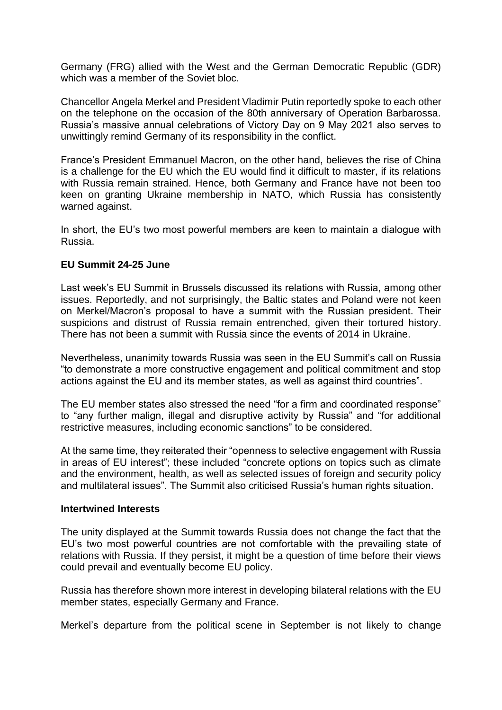Germany (FRG) allied with the West and the German Democratic Republic (GDR) which was a member of the Soviet bloc.

Chancellor Angela Merkel and President Vladimir Putin reportedly spoke to each other on the telephone on the occasion of the 80th anniversary of Operation Barbarossa. Russia's massive annual celebrations of Victory Day on 9 May 2021 also serves to unwittingly remind Germany of its responsibility in the conflict.

France's President Emmanuel Macron, on the other hand, believes the rise of China is a challenge for the EU which the EU would find it difficult to master, if its relations with Russia remain strained. Hence, both Germany and France have not been too keen on granting Ukraine membership in NATO, which Russia has consistently warned against.

In short, the EU's two most powerful members are keen to maintain a dialogue with Russia.

## **EU Summit 24-25 June**

Last week's EU Summit in Brussels discussed its relations with Russia, among other issues. Reportedly, and not surprisingly, the Baltic states and Poland were not keen on Merkel/Macron's proposal to have a summit with the Russian president. Their suspicions and distrust of Russia remain entrenched, given their tortured history. There has not been a summit with Russia since the events of 2014 in Ukraine.

Nevertheless, unanimity towards Russia was seen in the EU Summit's call on Russia "to demonstrate a more constructive engagement and political commitment and stop actions against the EU and its member states, as well as against third countries".

The EU member states also stressed the need "for a firm and coordinated response" to "any further malign, illegal and disruptive activity by Russia" and "for additional restrictive measures, including economic sanctions" to be considered.

At the same time, they reiterated their "openness to selective engagement with Russia in areas of EU interest"; these included "concrete options on topics such as climate and the environment, health, as well as selected issues of foreign and security policy and multilateral issues". The Summit also criticised Russia's human rights situation.

#### **Intertwined Interests**

The unity displayed at the Summit towards Russia does not change the fact that the EU's two most powerful countries are not comfortable with the prevailing state of relations with Russia. If they persist, it might be a question of time before their views could prevail and eventually become EU policy.

Russia has therefore shown more interest in developing bilateral relations with the EU member states, especially Germany and France.

Merkel's departure from the political scene in September is not likely to change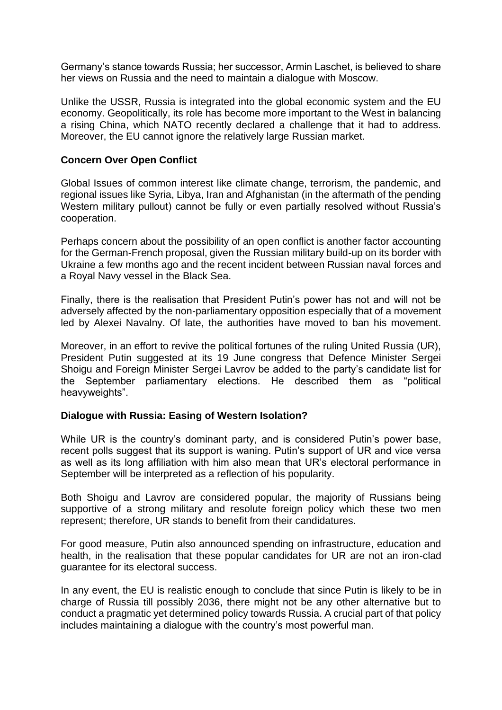Germany's stance towards Russia; her successor, Armin Laschet, is believed to share her views on Russia and the need to maintain a dialogue with Moscow.

Unlike the USSR, Russia is integrated into the global economic system and the EU economy. Geopolitically, its role has become more important to the West in balancing a rising China, which NATO recently declared a challenge that it had to address. Moreover, the EU cannot ignore the relatively large Russian market.

#### **Concern Over Open Conflict**

Global Issues of common interest like climate change, terrorism, the pandemic, and regional issues like Syria, Libya, Iran and Afghanistan (in the aftermath of the pending Western military pullout) cannot be fully or even partially resolved without Russia's cooperation.

Perhaps concern about the possibility of an open conflict is another factor accounting for the German-French proposal, given the Russian military build-up on its border with Ukraine a few months ago and the recent incident between Russian naval forces and a Royal Navy vessel in the Black Sea.

Finally, there is the realisation that President Putin's power has not and will not be adversely affected by the non-parliamentary opposition especially that of a movement led by Alexei Navalny. Of late, the authorities have moved to ban his movement.

Moreover, in an effort to revive the political fortunes of the ruling United Russia (UR), President Putin suggested at its 19 June congress that Defence Minister Sergei Shoigu and Foreign Minister Sergei Lavrov be added to the party's candidate list for the September parliamentary elections. He described them as "political heavyweights".

#### **Dialogue with Russia: Easing of Western Isolation?**

While UR is the country's dominant party, and is considered Putin's power base, recent polls suggest that its support is waning. Putin's support of UR and vice versa as well as its long affiliation with him also mean that UR's electoral performance in September will be interpreted as a reflection of his popularity.

Both Shoigu and Lavrov are considered popular, the majority of Russians being supportive of a strong military and resolute foreign policy which these two men represent; therefore, UR stands to benefit from their candidatures.

For good measure, Putin also announced spending on infrastructure, education and health, in the realisation that these popular candidates for UR are not an iron-clad guarantee for its electoral success.

In any event, the EU is realistic enough to conclude that since Putin is likely to be in charge of Russia till possibly 2036, there might not be any other alternative but to conduct a pragmatic yet determined policy towards Russia. A crucial part of that policy includes maintaining a dialogue with the country's most powerful man.